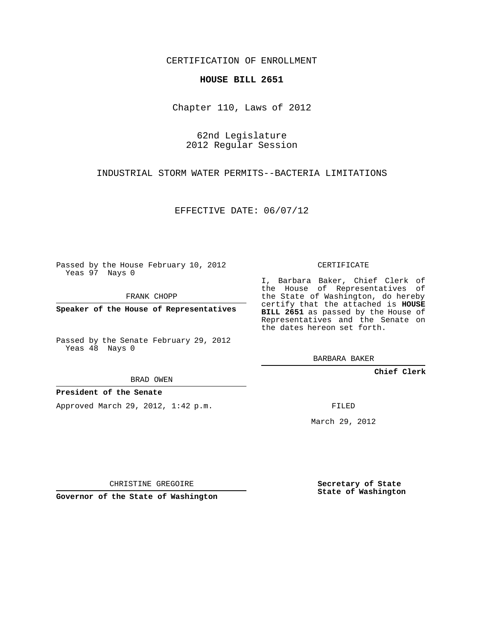CERTIFICATION OF ENROLLMENT

## **HOUSE BILL 2651**

Chapter 110, Laws of 2012

62nd Legislature 2012 Regular Session

INDUSTRIAL STORM WATER PERMITS--BACTERIA LIMITATIONS

EFFECTIVE DATE: 06/07/12

Passed by the House February 10, 2012 Yeas 97 Nays 0

FRANK CHOPP

**Speaker of the House of Representatives**

Passed by the Senate February 29, 2012 Yeas 48 Nays 0

BRAD OWEN

## **President of the Senate**

Approved March 29, 2012, 1:42 p.m.

CERTIFICATE

I, Barbara Baker, Chief Clerk of the House of Representatives of the State of Washington, do hereby certify that the attached is **HOUSE BILL 2651** as passed by the House of Representatives and the Senate on the dates hereon set forth.

BARBARA BAKER

**Chief Clerk**

FILED

March 29, 2012

CHRISTINE GREGOIRE

**Governor of the State of Washington**

**Secretary of State State of Washington**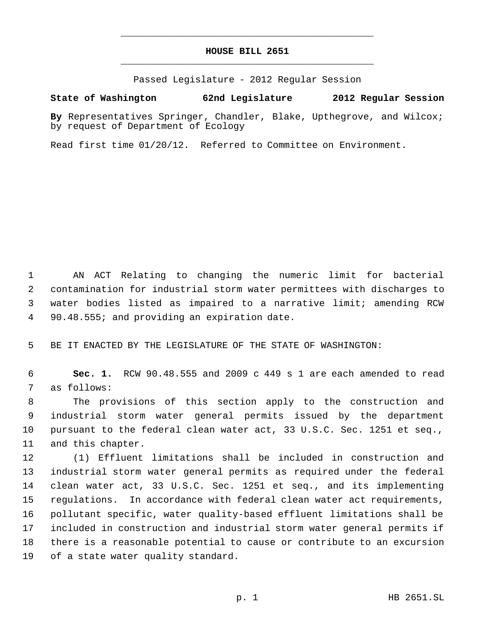## **HOUSE BILL 2651** \_\_\_\_\_\_\_\_\_\_\_\_\_\_\_\_\_\_\_\_\_\_\_\_\_\_\_\_\_\_\_\_\_\_\_\_\_\_\_\_\_\_\_\_\_

\_\_\_\_\_\_\_\_\_\_\_\_\_\_\_\_\_\_\_\_\_\_\_\_\_\_\_\_\_\_\_\_\_\_\_\_\_\_\_\_\_\_\_\_\_

Passed Legislature - 2012 Regular Session

## **State of Washington 62nd Legislature 2012 Regular Session**

**By** Representatives Springer, Chandler, Blake, Upthegrove, and Wilcox; by request of Department of Ecology

Read first time 01/20/12. Referred to Committee on Environment.

 AN ACT Relating to changing the numeric limit for bacterial contamination for industrial storm water permittees with discharges to water bodies listed as impaired to a narrative limit; amending RCW 90.48.555; and providing an expiration date.

BE IT ENACTED BY THE LEGISLATURE OF THE STATE OF WASHINGTON:

 **Sec. 1.** RCW 90.48.555 and 2009 c 449 s 1 are each amended to read as follows:

 The provisions of this section apply to the construction and industrial storm water general permits issued by the department pursuant to the federal clean water act, 33 U.S.C. Sec. 1251 et seq., and this chapter.

 (1) Effluent limitations shall be included in construction and industrial storm water general permits as required under the federal clean water act, 33 U.S.C. Sec. 1251 et seq., and its implementing regulations. In accordance with federal clean water act requirements, pollutant specific, water quality-based effluent limitations shall be included in construction and industrial storm water general permits if there is a reasonable potential to cause or contribute to an excursion of a state water quality standard.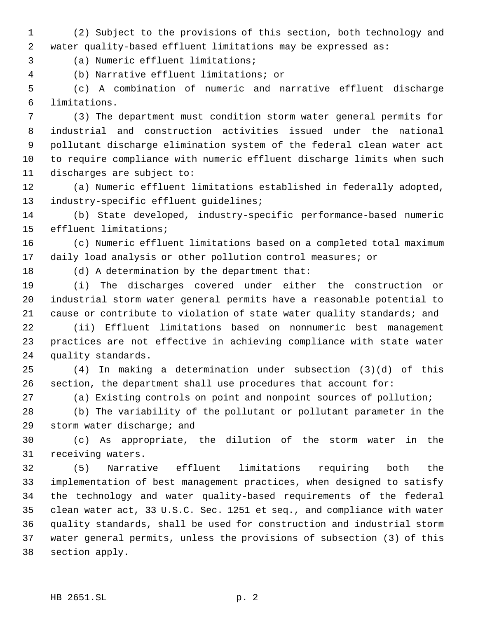(2) Subject to the provisions of this section, both technology and water quality-based effluent limitations may be expressed as:

(a) Numeric effluent limitations;

(b) Narrative effluent limitations; or

 (c) A combination of numeric and narrative effluent discharge limitations.

 (3) The department must condition storm water general permits for industrial and construction activities issued under the national pollutant discharge elimination system of the federal clean water act to require compliance with numeric effluent discharge limits when such discharges are subject to:

 (a) Numeric effluent limitations established in federally adopted, industry-specific effluent guidelines;

 (b) State developed, industry-specific performance-based numeric effluent limitations;

 (c) Numeric effluent limitations based on a completed total maximum daily load analysis or other pollution control measures; or

(d) A determination by the department that:

 (i) The discharges covered under either the construction or industrial storm water general permits have a reasonable potential to cause or contribute to violation of state water quality standards; and

 (ii) Effluent limitations based on nonnumeric best management practices are not effective in achieving compliance with state water quality standards.

 (4) In making a determination under subsection (3)(d) of this section, the department shall use procedures that account for:

(a) Existing controls on point and nonpoint sources of pollution;

 (b) The variability of the pollutant or pollutant parameter in the storm water discharge; and

 (c) As appropriate, the dilution of the storm water in the receiving waters.

 (5) Narrative effluent limitations requiring both the implementation of best management practices, when designed to satisfy the technology and water quality-based requirements of the federal clean water act, 33 U.S.C. Sec. 1251 et seq., and compliance with water quality standards, shall be used for construction and industrial storm water general permits, unless the provisions of subsection (3) of this section apply.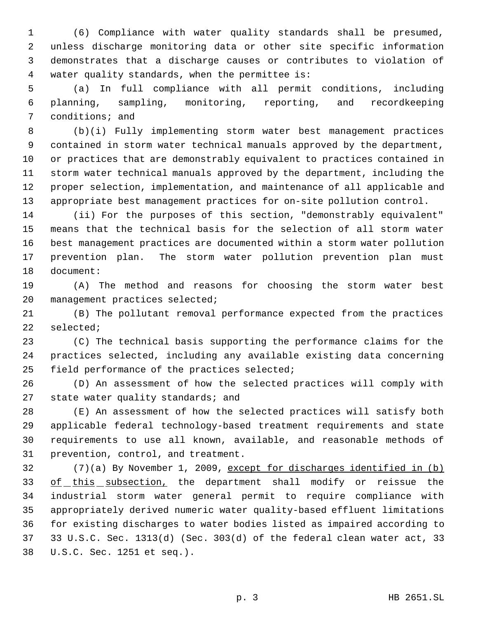(6) Compliance with water quality standards shall be presumed, unless discharge monitoring data or other site specific information demonstrates that a discharge causes or contributes to violation of water quality standards, when the permittee is:

 (a) In full compliance with all permit conditions, including planning, sampling, monitoring, reporting, and recordkeeping conditions; and

 (b)(i) Fully implementing storm water best management practices contained in storm water technical manuals approved by the department, or practices that are demonstrably equivalent to practices contained in storm water technical manuals approved by the department, including the proper selection, implementation, and maintenance of all applicable and appropriate best management practices for on-site pollution control.

 (ii) For the purposes of this section, "demonstrably equivalent" means that the technical basis for the selection of all storm water best management practices are documented within a storm water pollution prevention plan. The storm water pollution prevention plan must document:

 (A) The method and reasons for choosing the storm water best management practices selected;

 (B) The pollutant removal performance expected from the practices selected;

 (C) The technical basis supporting the performance claims for the practices selected, including any available existing data concerning field performance of the practices selected;

 (D) An assessment of how the selected practices will comply with 27 state water quality standards; and

 (E) An assessment of how the selected practices will satisfy both applicable federal technology-based treatment requirements and state requirements to use all known, available, and reasonable methods of prevention, control, and treatment.

 (7)(a) By November 1, 2009, except for discharges identified in (b) 33 of this subsection, the department shall modify or reissue the industrial storm water general permit to require compliance with appropriately derived numeric water quality-based effluent limitations for existing discharges to water bodies listed as impaired according to 33 U.S.C. Sec. 1313(d) (Sec. 303(d) of the federal clean water act, 33 U.S.C. Sec. 1251 et seq.).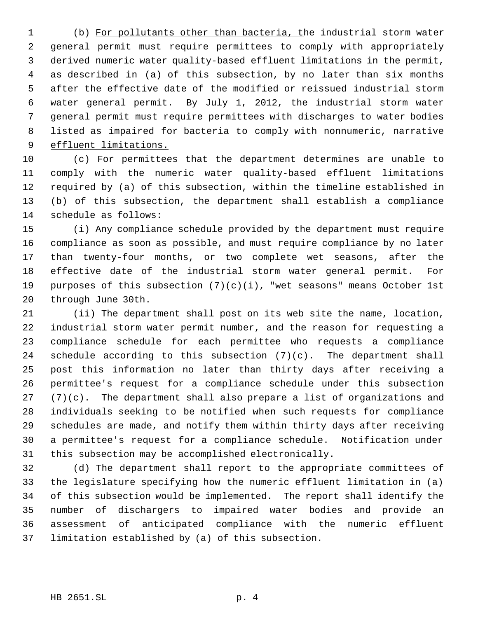(b) For pollutants other than bacteria, the industrial storm water general permit must require permittees to comply with appropriately derived numeric water quality-based effluent limitations in the permit, as described in (a) of this subsection, by no later than six months after the effective date of the modified or reissued industrial storm water general permit. By July 1, 2012, the industrial storm water general permit must require permittees with discharges to water bodies listed as impaired for bacteria to comply with nonnumeric, narrative effluent limitations.

 (c) For permittees that the department determines are unable to comply with the numeric water quality-based effluent limitations required by (a) of this subsection, within the timeline established in (b) of this subsection, the department shall establish a compliance schedule as follows:

 (i) Any compliance schedule provided by the department must require compliance as soon as possible, and must require compliance by no later than twenty-four months, or two complete wet seasons, after the effective date of the industrial storm water general permit. For purposes of this subsection (7)(c)(i), "wet seasons" means October 1st through June 30th.

 (ii) The department shall post on its web site the name, location, industrial storm water permit number, and the reason for requesting a compliance schedule for each permittee who requests a compliance 24 schedule according to this subsection  $(7)(c)$ . The department shall post this information no later than thirty days after receiving a permittee's request for a compliance schedule under this subsection  $(7)(c)$ . The department shall also prepare a list of organizations and individuals seeking to be notified when such requests for compliance schedules are made, and notify them within thirty days after receiving a permittee's request for a compliance schedule. Notification under this subsection may be accomplished electronically.

 (d) The department shall report to the appropriate committees of the legislature specifying how the numeric effluent limitation in (a) of this subsection would be implemented. The report shall identify the number of dischargers to impaired water bodies and provide an assessment of anticipated compliance with the numeric effluent limitation established by (a) of this subsection.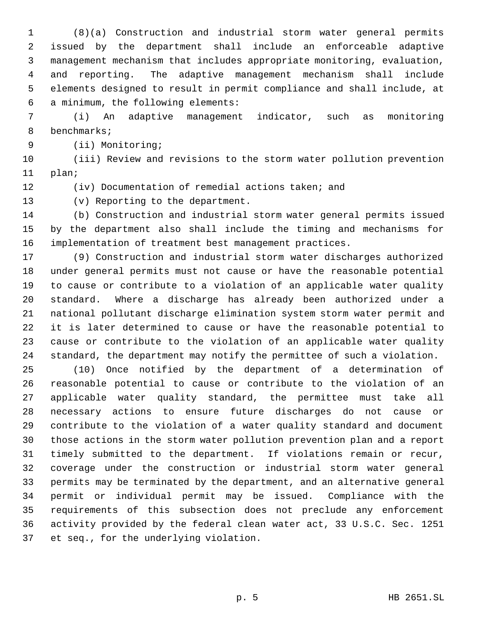(8)(a) Construction and industrial storm water general permits issued by the department shall include an enforceable adaptive management mechanism that includes appropriate monitoring, evaluation, and reporting. The adaptive management mechanism shall include elements designed to result in permit compliance and shall include, at a minimum, the following elements:

 (i) An adaptive management indicator, such as monitoring benchmarks;

(ii) Monitoring;

 (iii) Review and revisions to the storm water pollution prevention plan;

(iv) Documentation of remedial actions taken; and

(v) Reporting to the department.

 (b) Construction and industrial storm water general permits issued by the department also shall include the timing and mechanisms for implementation of treatment best management practices.

 (9) Construction and industrial storm water discharges authorized under general permits must not cause or have the reasonable potential to cause or contribute to a violation of an applicable water quality standard. Where a discharge has already been authorized under a national pollutant discharge elimination system storm water permit and it is later determined to cause or have the reasonable potential to cause or contribute to the violation of an applicable water quality standard, the department may notify the permittee of such a violation.

 (10) Once notified by the department of a determination of reasonable potential to cause or contribute to the violation of an applicable water quality standard, the permittee must take all necessary actions to ensure future discharges do not cause or contribute to the violation of a water quality standard and document those actions in the storm water pollution prevention plan and a report timely submitted to the department. If violations remain or recur, coverage under the construction or industrial storm water general permits may be terminated by the department, and an alternative general permit or individual permit may be issued. Compliance with the requirements of this subsection does not preclude any enforcement activity provided by the federal clean water act, 33 U.S.C. Sec. 1251 et seq., for the underlying violation.